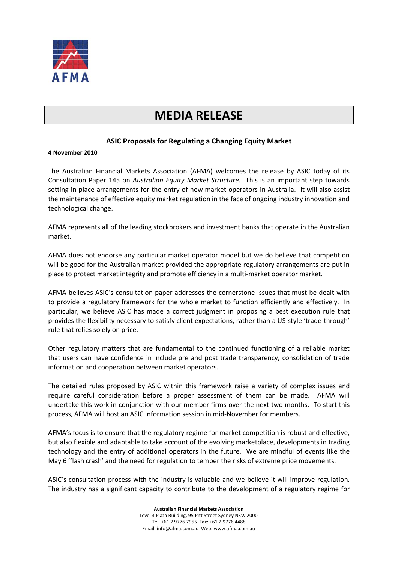

# **MEDIA RELEASE**

## **ASIC Proposals for Regulating a Changing Equity Market**

## **4 November 2010**

The Australian Financial Markets Association (AFMA) welcomes the release by ASIC today of its Consultation Paper 145 on *Australian Equity Market Structure*. This is an important step towards setting in place arrangements for the entry of new market operators in Australia. It will also assist the maintenance of effective equity market regulation in the face of ongoing industry innovation and technological change.

AFMA represents all of the leading stockbrokers and investment banks that operate in the Australian market.

AFMA does not endorse any particular market operator model but we do believe that competition will be good for the Australian market provided the appropriate regulatory arrangements are put in place to protect market integrity and promote efficiency in a multi-market operator market.

AFMA believes ASIC's consultation paper addresses the cornerstone issues that must be dealt with to provide a regulatory framework for the whole market to function efficiently and effectively. In particular, we believe ASIC has made a correct judgment in proposing a best execution rule that provides the flexibility necessary to satisfy client expectations, rather than a US-style 'trade-through' rule that relies solely on price.

Other regulatory matters that are fundamental to the continued functioning of a reliable market that users can have confidence in include pre and post trade transparency, consolidation of trade information and cooperation between market operators.

The detailed rules proposed by ASIC within this framework raise a variety of complex issues and require careful consideration before a proper assessment of them can be made. AFMA will undertake this work in conjunction with our member firms over the next two months. To start this process, AFMA will host an ASIC information session in mid-November for members.

AFMA's focus is to ensure that the regulatory regime for market competition is robust and effective, but also flexible and adaptable to take account of the evolving marketplace, developments in trading technology and the entry of additional operators in the future. We are mindful of events like the May 6 'flash crash' and the need for regulation to temper the risks of extreme price movements.

ASIC's consultation process with the industry is valuable and we believe it will improve regulation. The industry has a significant capacity to contribute to the development of a regulatory regime for